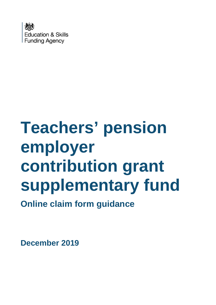

# **Teachers' pension employer contribution grant supplementary fund**

**Online claim form guidance**

**December 2019**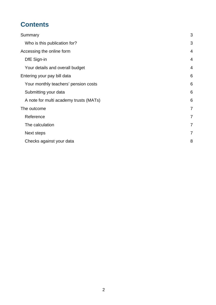# **Contents**

| Summary                                | 3              |
|----------------------------------------|----------------|
| Who is this publication for?           | 3              |
| Accessing the online form              | $\overline{4}$ |
| DfE Sign-in                            | $\overline{4}$ |
| Your details and overall budget        | $\overline{4}$ |
| Entering your pay bill data            | 6              |
| Your monthly teachers' pension costs   | 6              |
| Submitting your data                   | 6              |
| A note for multi academy trusts (MATs) | 6              |
| The outcome                            | $\overline{7}$ |
| Reference                              | $\overline{7}$ |
| The calculation                        | $\overline{7}$ |
| Next steps                             | $\overline{7}$ |
| Checks against your data               | 8              |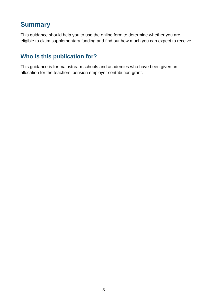## <span id="page-2-0"></span>**Summary**

This guidance should help you to use the online form to determine whether you are eligible to claim supplementary funding and find out how much you can expect to receive.

#### <span id="page-2-1"></span>**Who is this publication for?**

This guidance is for mainstream schools and academies who have been given an allocation for the teachers' pension employer contribution grant.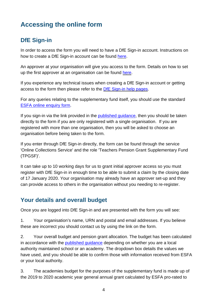# <span id="page-3-0"></span>**Accessing the online form**

## <span id="page-3-1"></span>**DfE Sign-in**

In order to access the form you will need to have a DfE Sign-in account. Instructions on how to create a DfE Sign-in account can be found [here.](https://help.signin.education.gov.uk/contact/create-account)

An approver at your organisation will give you access to the form. Details on how to set up the first approver at an organisation can be found [here.](https://help.signin.education.gov.uk/contact/approver/new-approver)

If you experience any technical issues when creating a DfE Sign-in account or getting access to the form then please refer to the DfE [Sign-in](https://help.signin.education.gov.uk/contact) help pages.

For any queries relating to the supplementary fund itself, you should use the standard [ESFA online enquiry](https://form.education.gov.uk/en/AchieveForms/?form_uri=sandbox-publish://AF-Process-f9f4f5a1-936f-448b-bbeb-9dcdd595f468/AF-Stage-8aa41278-3cdd-45a3-ad87-80cbffb8b992/definition.json&redirectlink=%2Fen&cancelRedirectLink=%2Fen&consentMessage=yes) form.

If you sign-in via the link provided in the [published guidance,](https://www.gov.uk/government/publications/pension-grant-2019-to-2020-allocations-and-supplementary-fund/pension-supplementary-fund-and-funding-for-local-authority-centrally-employed-teachers) then you should be taken directly to the form if you are only registered with a single organisation. If you are registered with more than one organisation, then you will be asked to choose an organisation before being taken to the form.

If you enter through DfE Sign-in directly, the form can be found through the service 'Online Collections Service' and the role 'Teachers Pension Grant Supplementary Fund (TPGSF)'.

It can take up to 10 working days for us to grant initial approver access so you must register with DfE Sign-in in enough time to be able to submit a claim by the closing date of 17 January 2020. Your organisation may already have an approver set-up and they can provide access to others in the organisation without you needing to re-register.

#### <span id="page-3-2"></span>**Your details and overall budget**

Once you are logged into DfE Sign-in and are presented with the form you will see:

1. Your organisation's name, URN and postal and email addresses. If you believe these are incorrect you should contact us by using the link on the form.

2. Your overall budget and pension grant allocation. The budget has been calculated in accordance with the [published guidance](https://www.gov.uk/government/publications/pension-grant-2019-to-2020-allocations-and-supplementary-fund/pension-supplementary-fund-and-funding-for-local-authority-centrally-employed-teachers) depending on whether you are a local authority maintained school or an academy. The dropdown box details the values we have used, and you should be able to confirm those with information received from ESFA or your local authority.

3. The academies budget for the purposes of the supplementary fund is made up of the 2019 to 2020 academic year general annual grant calculated by ESFA pro-rated to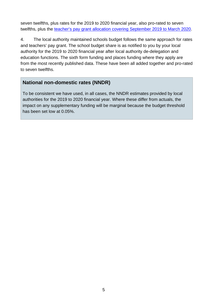seven twelfths, plus rates for the 2019 to 2020 financial year, also pro-rated to seven twelfths, plus the teacher's pay grant allocation [covering September 2019 to March 2020.](https://www.gov.uk/government/publications/teachers-pay-grant-allocations-for-2019-to-2020-financial-year)

4. The local authority maintained schools budget follows the same approach for rates and teachers' pay grant. The school budget share is as notified to you by your local authority for the 2019 to 2020 financial year after local authority de-delegation and education functions. The sixth form funding and places funding where they apply are from the most recently published data. These have been all added together and pro-rated to seven twelfths.

#### **National non-domestic rates (NNDR)**

To be consistent we have used, in all cases, the NNDR estimates provided by local authorities for the 2019 to 2020 financial year. Where these differ from actuals, the impact on any supplementary funding will be marginal because the budget threshold has been set low at 0.05%.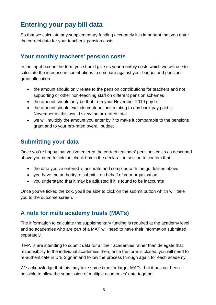## <span id="page-5-0"></span>**Entering your pay bill data**

So that we calculate any supplementary funding accurately it is important that you enter the correct data for your teachers' pension costs.

#### <span id="page-5-1"></span>**Your monthly teachers' pension costs**

In the input box on the form you should give us your monthly costs which we will use to calculate the increase in contributions to compare against your budget and pensions grant allocation:

- the amount should only relate to the pension contributions for teachers and not supporting or other non-teaching staff on different pension schemes
- the amount should only be that from your November 2019 pay bill
- the amount should exclude contributions relating to any back pay paid in November as this would skew the pro-rated total
- we will multiply the amount you enter by 7 to make it comparable to the pensions grant and to your pro-rated overall budget

#### <span id="page-5-2"></span>**Submitting your data**

Once you're happy that you've entered the correct teachers' pensions costs as described above you need to tick the check box in the declaration section to confirm that:

- the data you've entered is accurate and complies with the guidelines above
- you have the authority to submit it on behalf of your organisation
- you understand that it may be adjusted if it is found to be inaccurate

Once you've ticked the box, you'll be able to click on the submit button which will take you to the outcome screen.

#### <span id="page-5-3"></span>**A note for multi academy trusts (MATs)**

The information to calculate the supplementary funding is required at the academy level and so academies who are part of a MAT will need to have their information submitted separately.

If MATs are intending to submit data for all their academies rather than delegate that responsibility to the individual academies then, once the form is closed, you will need to re-authenticate in DfE Sign-in and follow the process through again for each academy.

We acknowledge that this may take some time for larger MATs, but it has not been possible to allow the submission of multiple academies' data together.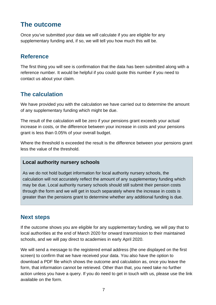## <span id="page-6-0"></span>**The outcome**

Once you've submitted your data we will calculate if you are eligible for any supplementary funding and, if so, we will tell you how much this will be.

#### <span id="page-6-1"></span>**Reference**

The first thing you will see is confirmation that the data has been submitted along with a reference number. It would be helpful if you could quote this number if you need to contact us about your claim.

## <span id="page-6-2"></span>**The calculation**

We have provided you with the calculation we have carried out to determine the amount of any supplementary funding which might be due.

The result of the calculation will be zero if your pensions grant exceeds your actual increase in costs, or the difference between your increase in costs and your pensions grant is less than 0.05% of your overall budget.

Where the threshold is exceeded the result is the difference between your pensions grant less the value of the threshold.

#### **Local authority nursery schools**

As we do not hold budget information for local authority nursery schools, the calculation will not accurately reflect the amount of any supplementary funding which may be due. Local authority nursery schools should still submit their pension costs through the form and we will get in touch separately where the increase in costs is greater than the pensions grant to determine whether any additional funding is due.

### <span id="page-6-3"></span>**Next steps**

If the outcome shows you are eligible for any supplementary funding, we will pay that to local authorities at the end of March 2020 for onward transmission to their maintained schools, and we will pay direct to academies in early April 2020.

We will send a message to the registered email address (the one displayed on the first screen) to confirm that we have received your data. You also have the option to download a PDF file which shows the outcome and calculation as, once you leave the form, that information cannot be retrieved. Other than that, you need take no further action unless you have a query. If you do need to get in touch with us, please use the link available on the form.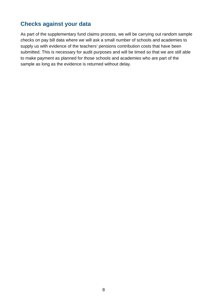#### <span id="page-7-0"></span>**Checks against your data**

As part of the supplementary fund claims process, we will be carrying out random sample checks on pay bill data where we will ask a small number of schools and academies to supply us with evidence of the teachers' pensions contribution costs that have been submitted. This is necessary for audit purposes and will be timed so that we are still able to make payment as planned for those schools and academies who are part of the sample as long as the evidence is returned without delay.